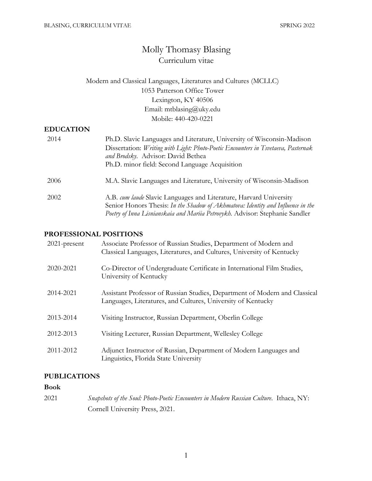# Molly Thomasy Blasing Curriculum vitae

## Modern and Classical Languages, Literatures and Cultures (MCLLC) 1053 Patterson Office Tower Lexington, KY 40506 Email: mtblasing@uky.edu Mobile: 440-420-0221

## **EDUCATION**

| 2014 | Ph.D. Slavic Languages and Literature, University of Wisconsin-Madison<br>Dissertation: Writing with Light: Photo-Poetic Encounters in Tsvetaeva, Pasternak<br>and Brodsky. Advisor: David Bethea<br>Ph.D. minor field: Second Language Acquisition |
|------|-----------------------------------------------------------------------------------------------------------------------------------------------------------------------------------------------------------------------------------------------------|
| 2006 | M.A. Slavic Languages and Literature, University of Wisconsin-Madison                                                                                                                                                                               |
| 2002 | A.B. cum laude Slavic Languages and Literature, Harvard University<br>Senior Honors Thesis: In the Shadow of Akhmatova: Identity and Influence in the<br>Poetry of Inna Lisnianskaia and Mariia Petrovykh. Advisor: Stephanie Sandler               |

## **PROFESSIONAL POSITIONS**

| $2021$ -present | Associate Professor of Russian Studies, Department of Modern and<br>Classical Languages, Literatures, and Cultures, University of Kentucky |
|-----------------|--------------------------------------------------------------------------------------------------------------------------------------------|
| 2020-2021       | Co-Director of Undergraduate Certificate in International Film Studies,<br>University of Kentucky                                          |
| 2014-2021       | Assistant Professor of Russian Studies, Department of Modern and Classical<br>Languages, Literatures, and Cultures, University of Kentucky |
| 2013-2014       | Visiting Instructor, Russian Department, Oberlin College                                                                                   |
| 2012-2013       | Visiting Lecturer, Russian Department, Wellesley College                                                                                   |
| 2011-2012       | Adjunct Instructor of Russian, Department of Modern Languages and<br>Linguistics, Florida State University                                 |

## **PUBLICATIONS**

## **Book**

2021 *Snapshots of the Soul: Photo-Poetic Encounters in Modern Russian Culture*. Ithaca, NY: Cornell University Press, 2021.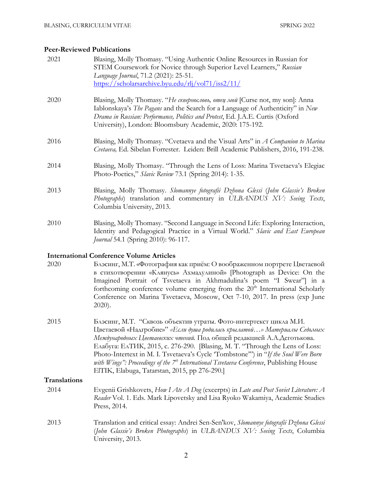## **Peer-Reviewed Publications**

| 2021 | Blasing, Molly Thomasy. "Using Authentic Online Resources in Russian for<br>STEM Coursework for Novice through Superior Level Learners," Russian<br>Language Journal, 71.2 (2021): 25-51.<br>https://scholarsarchive.byu.edu/rlj/vol71/iss2/11/                                                                                                                                                              |
|------|--------------------------------------------------------------------------------------------------------------------------------------------------------------------------------------------------------------------------------------------------------------------------------------------------------------------------------------------------------------------------------------------------------------|
| 2020 | Blasing, Molly Thomasy. "Не сквернословь, отец мой [Curse not, my son]: Anna<br>Iablonskaya's The Pagans and the Search for a Language of Authenticity" in New<br>Drama in Russian: Performance, Politics and Protest, Ed. J.A.E. Curtis (Oxford<br>University), London: Bloomsbury Academic, 2020: 175-192.                                                                                                 |
| 2016 | Blasing, Molly Thomasy. "Cvetaeva and the Visual Arts" in A Companion to Marina<br>Cvetaeva, Ed. Sibelan Forrester. Leiden: Brill Academic Publishers, 2016, 191-238.                                                                                                                                                                                                                                        |
| 2014 | Blasing, Molly Thomasy. "Through the Lens of Loss: Marina Tsvetaeva's Elegiac<br>Photo-Poetics," Slavic Review 73.1 (Spring 2014): 1-35.                                                                                                                                                                                                                                                                     |
| 2013 | Blasing, Molly Thomasy. Slomannye fotografii Dzhona Glessi (John Glassie's Broken<br>Photographs) translation and commentary in ULBANDUS XV: Seeing Texts,<br>Columbia University, 2013.                                                                                                                                                                                                                     |
| 2010 | Blasing, Molly Thomasy. "Second Language in Second Life: Exploring Interaction,<br>Identity and Pedagogical Practice in a Virtual World." Slavic and East European<br>Journal 54.1 (Spring 2010): 96-117.                                                                                                                                                                                                    |
|      | <b>International Conference Volume Articles</b>                                                                                                                                                                                                                                                                                                                                                              |
| 2020 | Блэсинг, М.Т. «Фотография как приём: О воображенном портрете Цветаевой<br>в стихотворении «Клянусь» Ахмадулиной» [Photograph as Device: On the<br>Imagined Portrait of Tsvetaeva in Akhmadulina's poem "I Swear" in a<br>forthcoming conference volume emerging from the 20 <sup>th</sup> International Scholarly<br>Conference on Marina Tsvetaeva, Moscow, Oct 7-10, 2017. In press (exp June<br>$2020$ ). |

2015 Блэсинг, М.Т. "Сквозь объектив утраты. Фото-интертекст цикла М.И. Цветаевой «Надгробие»" *«Если душа родилась крылатой…» Материалы Седьмых Международных Цветаевских чтений.* Под общей редакцией А.А.Деготькова. Елабуга: ЕлТИК, 2015, с. 276-290. [Blasing, M. T. "Through the Lens of Loss: Photo-Intertext in M. I. Tsvetaeva's Cycle 'Tombstone'") in "*If the Soul Were Born*  with Wings": Proceedings of the 7<sup>th</sup> International Tsvetaeva Conference, Publishing House ElTIK, Elabuga, Tatarstan, 2015, pp 276-290.]

## **Translations**

- 2014 Evgenii Grishkovets, *How I Ate A Dog* (excerpts) in *Late and Post Soviet Literature: A Reader* Vol. 1. Eds. Mark Lipovetsky and Lisa Ryoko Wakamiya, Academic Studies Press, 2014.
- 2013 Translation and critical essay: Andrei Sen-Sen'kov, *Slomannye fotografii Dzhona Glessi* (*John Glassie's Broken Photographs*) in *ULBANDUS XV: Seeing Texts*, Columbia University, 2013.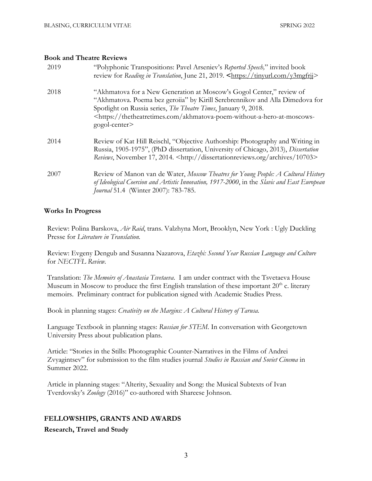#### **Book and Theatre Reviews**

| 2019 | "Polyphonic Transpositions: Pavel Arseniev's Reported Speech," invited book<br>review for Reading in Translation, June 21, 2019. <https: tinyurl.com="" y3mgfrij=""></https:>                                                                                                                                                       |
|------|-------------------------------------------------------------------------------------------------------------------------------------------------------------------------------------------------------------------------------------------------------------------------------------------------------------------------------------|
| 2018 | "Akhmatova for a New Generation at Moscow's Gogol Center," review of<br>"Akhmatova. Poema bez geroiia" by Kirill Serebrennikov and Alla Dimedova for<br>Spotlight on Russia series, The Theatre Times, January 9, 2018.<br><https: akhmatova-poem-without-a-hero-at-moscows-<br="" thetheatretimes.com="">gogol-center&gt;</https:> |
| 2014 | Review of Kat Hill Reischl, "Objective Authorship: Photography and Writing in<br>Russia, 1905-1975", (PhD dissertation, University of Chicago, 2013), Dissertation<br>Reviews, November 17, 2014. <http: 10703="" archives="" dissertationreviews.org=""></http:>                                                                   |
| 2007 | Review of Manon van de Water, Moscow Theatres for Young People: A Cultural History<br>of Ideological Coercion and Artistic Innovation, 1917-2000, in the Slavic and East European<br>Journal 51.4 (Winter 2007): 783-785.                                                                                                           |

## **Works In Progress**

Review: Polina Barskova, *Air Raid*, trans. Valzhyna Mort, Brooklyn, New York : Ugly Duckling Presse for *Literature in Translation.*

Review: Evgeny Dengub and Susanna Nazarova, *Etazhi: Second Year Russian Language and Culture* for *NECTFL Review.*

Translation: *The Memoirs of Anastasia Tsvetaeva*. I am under contract with the Tsvetaeva House Museum in Moscow to produce the first English translation of these important  $20<sup>th</sup>$  c. literary memoirs. Preliminary contract for publication signed with Academic Studies Press.

Book in planning stages: *Creativity on the Margins: A Cultural History of Tarusa.*

Language Textbook in planning stages: *Russian for STEM*. In conversation with Georgetown University Press about publication plans.

Article: "Stories in the Stills: Photographic Counter-Narratives in the Films of Andrei Zvyagintsev" for submission to the film studies journal *Studies in Russian and Soviet Cinema* in Summer 2022.

Article in planning stages: "Alterity, Sexuality and Song: the Musical Subtexts of Ivan Tverdovsky's *Zoology* (2016)" co-authored with Shareese Johnson.

## **FELLOWSHIPS, GRANTS AND AWARDS**

**Research, Travel and Study**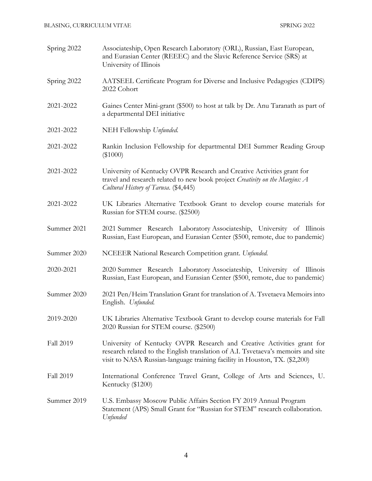| Spring 2022      | Associateship, Open Research Laboratory (ORL), Russian, East European,<br>and Eurasian Center (REEEC) and the Slavic Reference Service (SRS) at<br>University of Illinois                                                                |
|------------------|------------------------------------------------------------------------------------------------------------------------------------------------------------------------------------------------------------------------------------------|
| Spring 2022      | AATSEEL Certificate Program for Diverse and Inclusive Pedagogies (CDIPS)<br>2022 Cohort                                                                                                                                                  |
| 2021-2022        | Gaines Center Mini-grant (\$500) to host at talk by Dr. Anu Taranath as part of<br>a departmental DEI initiative                                                                                                                         |
| 2021-2022        | NEH Fellowship Unfunded.                                                                                                                                                                                                                 |
| 2021-2022        | Rankin Inclusion Fellowship for departmental DEI Summer Reading Group<br>$(\$1000)$                                                                                                                                                      |
| 2021-2022        | University of Kentucky OVPR Research and Creative Activities grant for<br>travel and research related to new book project Creativity on the Margins: A<br>Cultural History of Tarusa. (\$4,445)                                          |
| 2021-2022        | UK Libraries Alternative Textbook Grant to develop course materials for<br>Russian for STEM course. (\$2500)                                                                                                                             |
| Summer 2021      | 2021 Summer Research Laboratory Associateship, University of Illinois<br>Russian, East European, and Eurasian Center (\$500, remote, due to pandemic)                                                                                    |
| Summer 2020      | NCEEER National Research Competition grant. Unfunded.                                                                                                                                                                                    |
| 2020-2021        | 2020 Summer Research Laboratory Associateship, University of Illinois<br>Russian, East European, and Eurasian Center (\$500, remote, due to pandemic)                                                                                    |
| Summer 2020      | 2021 Pen/Heim Translation Grant for translation of A. Tsvetaeva Memoirs into<br>English. Unfunded.                                                                                                                                       |
| 2019-2020        | UK Libraries Alternative Textbook Grant to develop course materials for Fall<br>2020 Russian for STEM course. (\$2500)                                                                                                                   |
| Fall 2019        | University of Kentucky OVPR Research and Creative Activities grant for<br>research related to the English translation of A.I. Tsvetaeva's memoirs and site<br>visit to NASA Russian-language training facility in Houston, TX. (\$2,200) |
| <b>Fall 2019</b> | International Conference Travel Grant, College of Arts and Sciences, U.<br>Kentucky (\$1200)                                                                                                                                             |
| Summer 2019      | U.S. Embassy Moscow Public Affairs Section FY 2019 Annual Program<br>Statement (APS) Small Grant for "Russian for STEM" research collaboration.<br>Unfunded                                                                              |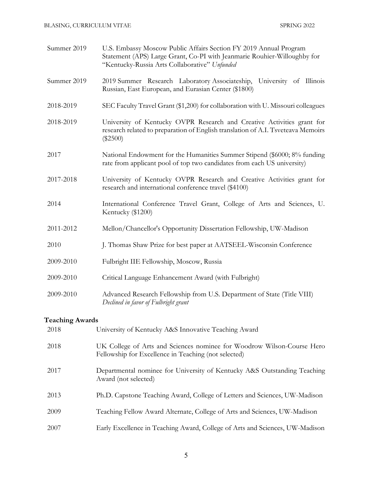| Summer 2019 | U.S. Embassy Moscow Public Affairs Section FY 2019 Annual Program<br>Statement (APS) Large Grant, Co-PI with Jeanmarie Rouhier-Willoughby for<br>"Kentucky-Russia Arts Collaborative" Unfunded |
|-------------|------------------------------------------------------------------------------------------------------------------------------------------------------------------------------------------------|
| Summer 2019 | 2019 Summer Research Laboratory Associateship, University of Illinois<br>Russian, East European, and Eurasian Center (\$1800)                                                                  |
| 2018-2019   | SEC Faculty Travel Grant (\$1,200) for collaboration with U. Missouri colleagues                                                                                                               |
| 2018-2019   | University of Kentucky OVPR Research and Creative Activities grant for<br>research related to preparation of English translation of A.I. Tsveteava Memoirs<br>$(\$2500)$                       |
| 2017        | National Endowment for the Humanities Summer Stipend (\$6000; 8% funding<br>rate from applicant pool of top two candidates from each US university)                                            |
| 2017-2018   | University of Kentucky OVPR Research and Creative Activities grant for<br>research and international conference travel (\$4100)                                                                |
| 2014        | International Conference Travel Grant, College of Arts and Sciences, U.<br>Kentucky (\$1200)                                                                                                   |
| 2011-2012   | Mellon/Chancellor's Opportunity Dissertation Fellowship, UW-Madison                                                                                                                            |
| 2010        | J. Thomas Shaw Prize for best paper at AATSEEL-Wisconsin Conference                                                                                                                            |
| 2009-2010   | Fulbright IIE Fellowship, Moscow, Russia                                                                                                                                                       |
| 2009-2010   | Critical Language Enhancement Award (with Fulbright)                                                                                                                                           |
| 2009-2010   | Advanced Research Fellowship from U.S. Department of State (Title VIII)<br>Declined in favor of Fulbright grant                                                                                |
|             |                                                                                                                                                                                                |

## **Teaching Awards**

| 2018 | University of Kentucky A&S Innovative Teaching Award                                                                           |
|------|--------------------------------------------------------------------------------------------------------------------------------|
| 2018 | UK College of Arts and Sciences nominee for Woodrow Wilson-Course Hero<br>Fellowship for Excellence in Teaching (not selected) |
| 2017 | Departmental nominee for University of Kentucky A&S Outstanding Teaching<br>Award (not selected)                               |
| 2013 | Ph.D. Capstone Teaching Award, College of Letters and Sciences, UW-Madison                                                     |
| 2009 | Teaching Fellow Award Alternate, College of Arts and Sciences, UW-Madison                                                      |
| 2007 | Early Excellence in Teaching Award, College of Arts and Sciences, UW-Madison                                                   |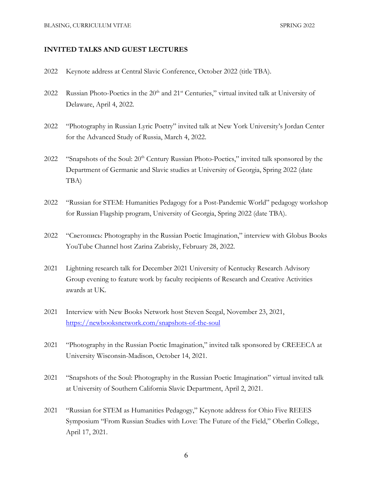#### **INVITED TALKS AND GUEST LECTURES**

- 2022 Keynote address at Central Slavic Conference, October 2022 (title TBA).
- 2022 Russian Photo-Poetics in the  $20<sup>th</sup>$  and  $21<sup>st</sup>$  Centuries," virtual invited talk at University of Delaware, April 4, 2022.
- 2022 "Photography in Russian Lyric Poetry" invited talk at New York University's Jordan Center for the Advanced Study of Russia, March 4, 2022.
- 2022 "Snapshots of the Soul:  $20<sup>th</sup>$  Century Russian Photo-Poetics," invited talk sponsored by the Department of Germanic and Slavic studies at University of Georgia, Spring 2022 (date TBA)
- 2022 "Russian for STEM: Humanities Pedagogy for a Post-Pandemic World" pedagogy workshop for Russian Flagship program, University of Georgia, Spring 2022 (date TBA).
- 2022 "Светопись: Photography in the Russian Poetic Imagination," interview with Globus Books YouTube Channel host Zarina Zabrisky, February 28, 2022.
- 2021 Lightning research talk for December 2021 University of Kentucky Research Advisory Group evening to feature work by faculty recipients of Research and Creative Activities awards at UK.
- 2021 Interview with New Books Network host Steven Seegal, November 23, 2021, https://newbooksnetwork.com/snapshots-of-the-soul
- 2021 "Photography in the Russian Poetic Imagination," invited talk sponsored by CREEECA at University Wisconsin-Madison, October 14, 2021.
- 2021 "Snapshots of the Soul: Photography in the Russian Poetic Imagination" virtual invited talk at University of Southern California Slavic Department, April 2, 2021.
- 2021 "Russian for STEM as Humanities Pedagogy," Keynote address for Ohio Five REEES Symposium "From Russian Studies with Love: The Future of the Field," Oberlin College, April 17, 2021.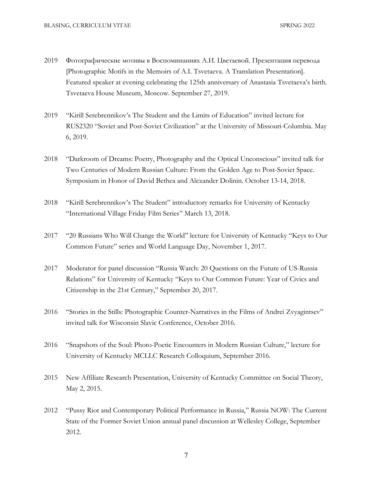- 2019 Фотографические мотивы в Воспоминаниях А.И. Цветаевой. Презентация перевода [Photographic Motifs in the Memoirs of A.I. Tsvetaeva. A Translation Presentation]. Featured speaker at evening celebrating the 125th anniversary of Anastasia Tsvetaeva's birth. Tsvetaeva House Museum, Moscow. September 27, 2019.
- 2019 "Kirill Serebrennikov's The Student and the Limits of Education" invited lecture for RUS2320 "Soviet and Post-Soviet Civilization" at the University of Missouri-Columbia. May 6, 2019.
- 2018 "Darkroom of Dreams: Poetry, Photography and the Optical Unconscious" invited talk for Two Centuries of Modern Russian Culture: From the Golden Age to Post-Soviet Space. Symposium in Honor of David Bethea and Alexander Dolinin. October 13-14, 2018.
- 2018 "Kirill Serebrennikov's The Student" introductory remarks for University of Kentucky "International Village Friday Film Series" March 13, 2018.
- 2017 "20 Russians Who Will Change the World" lecture for University of Kentucky "Keys to Our Common Future" series and World Language Day, November 1, 2017.
- 2017 Moderator for panel discussion "Russia Watch: 20 Questions on the Future of US-Russia Relations" for University of Kentucky "Keys to Our Common Future: Year of Civics and Citizenship in the 21st Century," September 20, 2017.
- 2016 "Stories in the Stills: Photographic Counter-Narratives in the Films of Andrei Zvyagintsev" invited talk for Wisconsin Slavic Conference, October 2016.
- 2016 "Snapshots of the Soul: Photo-Poetic Encounters in Modern Russian Culture," lecture for University of Kentucky MCLLC Research Colloquium, September 2016.
- 2015 New Affiliate Research Presentation, University of Kentucky Committee on Social Theory, May 2, 2015.
- 2012 "Pussy Riot and Contemporary Political Performance in Russia," Russia NOW: The Current State of the Former Soviet Union annual panel discussion at Wellesley College, September 2012.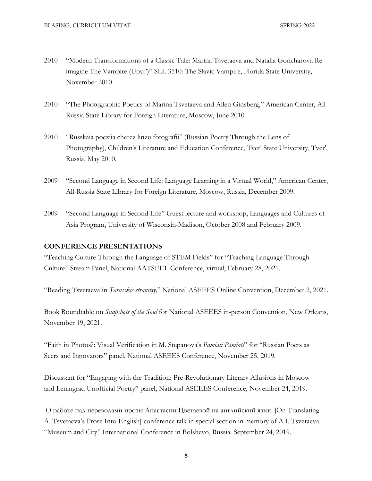- 2010 "Modern Transformations of a Classic Tale: Marina Tsvetaeva and Natalia Goncharova Reimagine The Vampire (Upyr')" SLL 3510: The Slavic Vampire, Florida State University, November 2010.
- 2010 "The Photographic Poetics of Marina Tsvetaeva and Allen Ginsberg," American Center, All-Russia State Library for Foreign Literature, Moscow, June 2010.
- 2010 "Russkaia poeziia cherez linzu fotografii" (Russian Poetry Through the Lens of Photography), Children's Literature and Education Conference, Tver' State University, Tver', Russia, May 2010.
- 2009 "Second Language in Second Life: Language Learning in a Virtual World," American Center, All-Russia State Library for Foreign Literature, Moscow, Russia, December 2009.
- 2009 "Second Language in Second Life" Guest lecture and workshop, Languages and Cultures of Asia Program, University of Wisconsin-Madison, October 2008 and February 2009.

## **CONFERENCE PRESENTATIONS**

"Teaching Culture Through the Language of STEM Fields" for "Teaching Language Through Culture" Stream Panel, National AATSEEL Conference, virtual, February 28, 2021.

"Reading Tsvetaeva in *Tarusskie stranitsy,*" National ASEEES Online Convention, December 2, 2021.

Book Roundtable on *Snapshots of the Soul* for National ASEEES in-person Convention, New Orleans, November 19, 2021.

"Faith in Photos?: Visual Verification in M. Stepanova's *Pamiati Pamiati*" for "Russian Poets as Seers and Innovators" panel, National ASEEES Conference, November 25, 2019.

Discussant for "Engaging with the Tradition: Pre-Revolutionary Literary Allusions in Moscow and Leningrad Unofficial Poetry" panel, National ASEEES Conference, November 24, 2019.

.О работе над переводами прозы Анастасии Цветаевой на английский язык. [On Translating A. Tsvetaeva's Prose Into English] conference talk in special section in memory of A.I. Tsvetaeva. "Museum and City" International Conference in Bolshevo, Russia. September 24, 2019.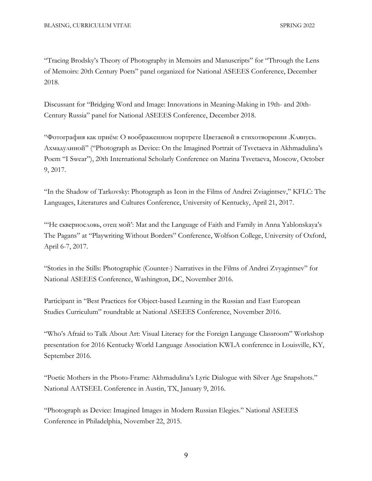"Tracing Brodsky's Theory of Photography in Memoirs and Manuscripts" for "Through the Lens of Memoirs: 20th Century Poets" panel organized for National ASEEES Conference, December 2018.

Discussant for "Bridging Word and Image: Innovations in Meaning-Making in 19th- and 20th-Century Russia" panel for National ASEEES Conference, December 2018.

"Фотография как приём: О воображенном портрете Цветаевой в стихотворении .Клянусь. Ахмадулиной" ("Photograph as Device: On the Imagined Portrait of Tsvetaeva in Akhmadulina's Poem "I Swear"), 20th International Scholarly Conference on Marina Tsvetaeva, Moscow, October 9, 2017.

"In the Shadow of Tarkovsky: Photograph as Icon in the Films of Andrei Zviagintsev," KFLC: The Languages, Literatures and Cultures Conference, University of Kentucky, April 21, 2017.

"'Не сквернословь, отец мой': Mat and the Language of Faith and Family in Anna Yablonskaya's The Pagans" at "Playwriting Without Borders" Conference, Wolfson College, University of Oxford, April 6-7, 2017.

"Stories in the Stills: Photographic (Counter-) Narratives in the Films of Andrei Zvyagintsev" for National ASEEES Conference, Washington, DC, November 2016.

Participant in "Best Practices for Object-based Learning in the Russian and East European Studies Curriculum" roundtable at National ASEEES Conference, November 2016.

"Who's Afraid to Talk About Art: Visual Literacy for the Foreign Language Classroom" Workshop presentation for 2016 Kentucky World Language Association KWLA conference in Louisville, KY, September 2016.

"Poetic Mothers in the Photo-Frame: Akhmadulina's Lyric Dialogue with Silver Age Snapshots." National AATSEEL Conference in Austin, TX, January 9, 2016.

"Photograph as Device: Imagined Images in Modern Russian Elegies." National ASEEES Conference in Philadelphia, November 22, 2015.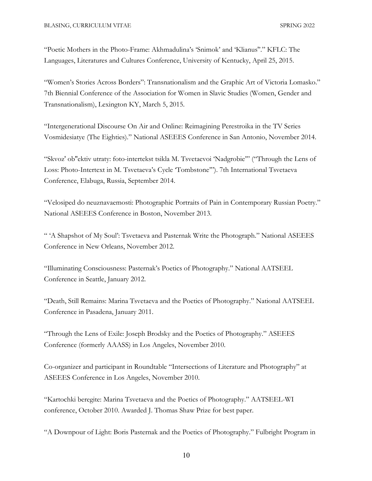"Poetic Mothers in the Photo-Frame: Akhmadulina's 'Snimok' and 'Klianus''." KFLC: The Languages, Literatures and Cultures Conference, University of Kentucky, April 25, 2015.

"Women's Stories Across Borders": Transnationalism and the Graphic Art of Victoria Lomasko." 7th Biennial Conference of the Association for Women in Slavic Studies (Women, Gender and Transnationalism), Lexington KY, March 5, 2015.

"Intergenerational Discourse On Air and Online: Reimagining Perestroika in the TV Series Vosmidesiatye (The Eighties)." National ASEEES Conference in San Antonio, November 2014.

"Skvoz' ob''ektiv utraty: foto-intertekst tsikla M. Tsvetaevoi 'Nadgrobie'" ("Through the Lens of Loss: Photo-Intertext in M. Tsvetaeva's Cycle 'Tombstone'"). 7th International Tsvetaeva Conference, Elabuga, Russia, September 2014.

"Velosiped do neuznavaemosti: Photographic Portraits of Pain in Contemporary Russian Poetry." National ASEEES Conference in Boston, November 2013.

" 'A Shapshot of My Soul': Tsvetaeva and Pasternak Write the Photograph." National ASEEES Conference in New Orleans, November 2012.

"Illuminating Consciousness: Pasternak's Poetics of Photography." National AATSEEL Conference in Seattle, January 2012.

"Death, Still Remains: Marina Tsvetaeva and the Poetics of Photography." National AATSEEL Conference in Pasadena, January 2011.

"Through the Lens of Exile: Joseph Brodsky and the Poetics of Photography." ASEEES Conference (formerly AAASS) in Los Angeles, November 2010.

Co-organizer and participant in Roundtable "Intersections of Literature and Photography" at ASEEES Conference in Los Angeles, November 2010.

"Kartochki beregite: Marina Tsvetaeva and the Poetics of Photography." AATSEEL-WI conference, October 2010. Awarded J. Thomas Shaw Prize for best paper.

"A Downpour of Light: Boris Pasternak and the Poetics of Photography." Fulbright Program in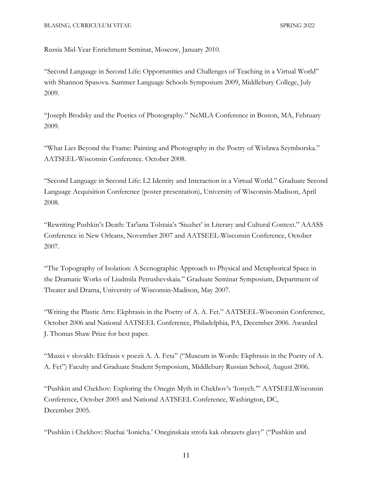Russia Mid-Year Enrichment Seminar, Moscow, January 2010.

"Second Language in Second Life: Opportunities and Challenges of Teaching in a Virtual World" with Shannon Spasova. Summer Language Schools Symposium 2009, Middlebury College, July 2009.

"Joseph Brodsky and the Poetics of Photography." NeMLA Conference in Boston, MA, February 2009.

"What Lies Beyond the Frame: Painting and Photography in the Poetry of Wisława Szymborska." AATSEEL-Wisconsin Conference. October 2008.

"Second Language in Second Life: L2 Identity and Interaction in a Virtual World." Graduate Second Language Acquisition Conference (poster presentation), University of Wisconsin-Madison, April 2008.

"Rewriting Pushkin's Death: Tat'iana Tolstaia's 'Siuzhet' in Literary and Cultural Context." AAASS Conference in New Orleans, November 2007 and AATSEEL-Wisconsin Conference, October 2007.

"The Topography of Isolation: A Scenographic Approach to Physical and Metaphorical Space in the Dramatic Works of Liudmila Petrushevskaia." Graduate Seminar Symposium, Department of Theater and Drama, University of Wisconsin-Madison, May 2007.

"Writing the Plastic Arts: Ekphrasis in the Poetry of A. A. Fet." AATSEEL-Wisconsin Conference, October 2006 and National AATSEEL Conference, Philadelphia, PA, December 2006. Awarded J. Thomas Shaw Prize for best paper.

"Muzei v slovakh: Ekfrasis v poezii A. A. Feta" ("Museum in Words: Ekphrasis in the Poetry of A. A. Fet") Faculty and Graduate Student Symposium, Middlebury Russian School, August 2006.

"Pushkin and Chekhov: Exploring the Onegin Myth in Chekhov's 'Ionych.'" AATSEELWisconsin Conference, October 2005 and National AATSEEL Conference, Washington, DC, December 2005.

"Pushkin i Chekhov: Sluchai 'Ionicha.' Oneginskaia strofa kak obrazets glavy" ("Pushkin and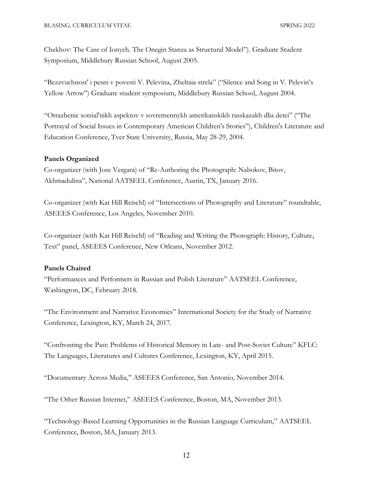Chekhov: The Case of Ionych. The Onegin Stanza as Structural Model"). Graduate Student Symposium, Middlebury Russian School, August 2005.

"Bezzvuchnost' i pesni v povesti V. Pelevina, Zheltaia strela" ("Silence and Song in V. Pelevin's Yellow Arrow") Graduate student symposium, Middlebury Russian School, August 2004.

"Otrazhenie sotsial'nikh aspektov v sovremennykh amerikanskikh rasskazakh dlia detei" ("The Portrayal of Social Issues in Contemporary American Children's Stories"), Children's Literature and Education Conference, Tver State University, Russia, May 28-29, 2004.

#### **Panels Organized**

Co-organizer (with Jose Vergara) of "Re-Authoring the Photograph: Nabokov, Bitov, Akhmadulina", National AATSEEL Conference, Austin, TX, January 2016.

Co-organizer (with Kat Hill Reischl) of "Intersections of Photography and Literature" roundtable, ASEEES Conference, Los Angeles, November 2010.

Co-organizer (with Kat Hill Reischl) of "Reading and Writing the Photograph: History, Culture, Text" panel, ASEEES Conference, New Orleans, November 2012.

#### **Panels Chaired**

"Performances and Performers in Russian and Polish Literature" AATSEEL Conference, Washington, DC, February 2018.

"The Environment and Narrative Economies" International Society for the Study of Narrative Conference, Lexington, KY, March 24, 2017.

"Confronting the Past: Problems of Historical Memory in Late- and Post-Soviet Culture" KFLC: The Languages, Literatures and Cultures Conference, Lexington, KY, April 2015.

"Documentary Across Media," ASEEES Conference, San Antonio, November 2014.

"The Other Russian Internet," ASEEES Conference, Boston, MA, November 2013.

"Technology-Based Learning Opportunities in the Russian Language Curriculum," AATSEEL Conference, Boston, MA, January 2013.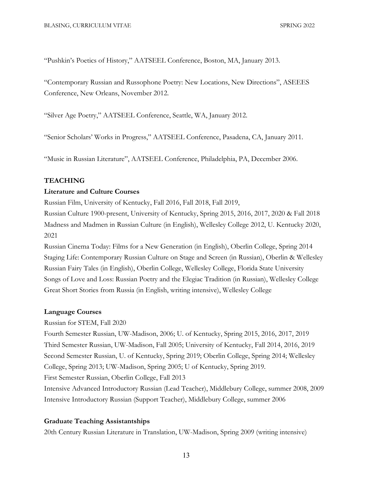"Pushkin's Poetics of History," AATSEEL Conference, Boston, MA, January 2013.

"Contemporary Russian and Russophone Poetry: New Locations, New Directions", ASEEES Conference, New Orleans, November 2012.

"Silver Age Poetry," AATSEEL Conference, Seattle, WA, January 2012.

"Senior Scholars' Works in Progress," AATSEEL Conference, Pasadena, CA, January 2011.

"Music in Russian Literature", AATSEEL Conference, Philadelphia, PA, December 2006.

## **TEACHING**

#### **Literature and Culture Courses**

Russian Film, University of Kentucky, Fall 2016, Fall 2018, Fall 2019,

Russian Culture 1900-present, University of Kentucky, Spring 2015, 2016, 2017, 2020 & Fall 2018 Madness and Madmen in Russian Culture (in English), Wellesley College 2012, U. Kentucky 2020, 2021

Russian Cinema Today: Films for a New Generation (in English), Oberlin College, Spring 2014 Staging Life: Contemporary Russian Culture on Stage and Screen (in Russian), Oberlin & Wellesley Russian Fairy Tales (in English), Oberlin College, Wellesley College, Florida State University Songs of Love and Loss: Russian Poetry and the Elegiac Tradition (in Russian), Wellesley College Great Short Stories from Russia (in English, writing intensive), Wellesley College

#### **Language Courses**

Russian for STEM, Fall 2020

Fourth Semester Russian, UW-Madison, 2006; U. of Kentucky, Spring 2015, 2016, 2017, 2019 Third Semester Russian, UW-Madison, Fall 2005; University of Kentucky, Fall 2014, 2016, 2019 Second Semester Russian, U. of Kentucky, Spring 2019; Oberlin College, Spring 2014; Wellesley College, Spring 2013; UW-Madison, Spring 2005; U of Kentucky, Spring 2019. First Semester Russian, Oberlin College, Fall 2013

Intensive Advanced Introductory Russian (Lead Teacher), Middlebury College, summer 2008, 2009 Intensive Introductory Russian (Support Teacher), Middlebury College, summer 2006

#### **Graduate Teaching Assistantships**

20th Century Russian Literature in Translation, UW-Madison, Spring 2009 (writing intensive)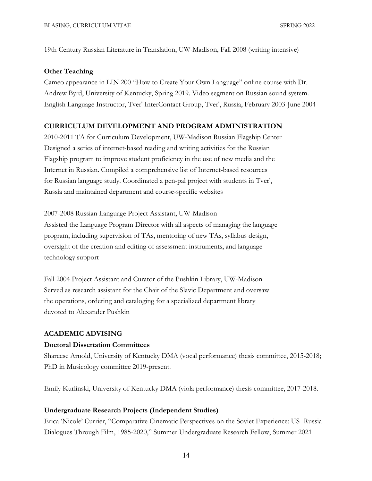19th Century Russian Literature in Translation, UW-Madison, Fall 2008 (writing intensive)

#### **Other Teaching**

Cameo appearance in LIN 200 "How to Create Your Own Language" online course with Dr. Andrew Byrd, University of Kentucky, Spring 2019. Video segment on Russian sound system. English Language Instructor, Tver' InterContact Group, Tver', Russia, February 2003-June 2004

## **CURRICULUM DEVELOPMENT AND PROGRAM ADMINISTRATION**

2010-2011 TA for Curriculum Development, UW-Madison Russian Flagship Center Designed a series of internet-based reading and writing activities for the Russian Flagship program to improve student proficiency in the use of new media and the Internet in Russian. Compiled a comprehensive list of Internet-based resources for Russian language study. Coordinated a pen-pal project with students in Tver', Russia and maintained department and course-specific websites

2007-2008 Russian Language Project Assistant, UW-Madison Assisted the Language Program Director with all aspects of managing the language program, including supervision of TAs, mentoring of new TAs, syllabus design, oversight of the creation and editing of assessment instruments, and language technology support

Fall 2004 Project Assistant and Curator of the Pushkin Library, UW-Madison Served as research assistant for the Chair of the Slavic Department and oversaw the operations, ordering and cataloging for a specialized department library devoted to Alexander Pushkin

#### **ACADEMIC ADVISING**

#### **Doctoral Dissertation Committees**

Shareese Arnold, University of Kentucky DMA (vocal performance) thesis committee, 2015-2018; PhD in Musicology committee 2019-present.

Emily Kurlinski, University of Kentucky DMA (viola performance) thesis committee, 2017-2018.

#### **Undergraduate Research Projects (Independent Studies)**

Erica 'Nicole' Currier, "Comparative Cinematic Perspectives on the Soviet Experience: US- Russia Dialogues Through Film, 1985-2020," Summer Undergraduate Research Fellow, Summer 2021

14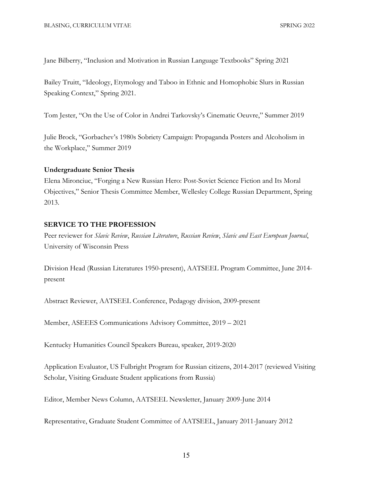Jane Bilberry, "Inclusion and Motivation in Russian Language Textbooks" Spring 2021

Bailey Truitt, "Ideology, Etymology and Taboo in Ethnic and Homophobic Slurs in Russian Speaking Context," Spring 2021.

Tom Jester, "On the Use of Color in Andrei Tarkovsky's Cinematic Oeuvre," Summer 2019

Julie Brock, "Gorbachev's 1980s Sobriety Campaign: Propaganda Posters and Alcoholism in the Workplace," Summer 2019

#### **Undergraduate Senior Thesis**

Elena Mironciuc, "Forging a New Russian Hero: Post-Soviet Science Fiction and Its Moral Objectives," Senior Thesis Committee Member, Wellesley College Russian Department, Spring 2013.

## **SERVICE TO THE PROFESSION**

Peer reviewer for *Slavic Review*, *Russian Literature*, *Russian Review*, *Slavic and East European Journal*, University of Wisconsin Press

Division Head (Russian Literatures 1950-present), AATSEEL Program Committee, June 2014 present

Abstract Reviewer, AATSEEL Conference, Pedagogy division, 2009-present

Member, ASEEES Communications Advisory Committee, 2019 – 2021

Kentucky Humanities Council Speakers Bureau, speaker, 2019-2020

Application Evaluator, US Fulbright Program for Russian citizens, 2014-2017 (reviewed Visiting Scholar, Visiting Graduate Student applications from Russia)

Editor, Member News Column, AATSEEL Newsletter, January 2009-June 2014

Representative, Graduate Student Committee of AATSEEL, January 2011-January 2012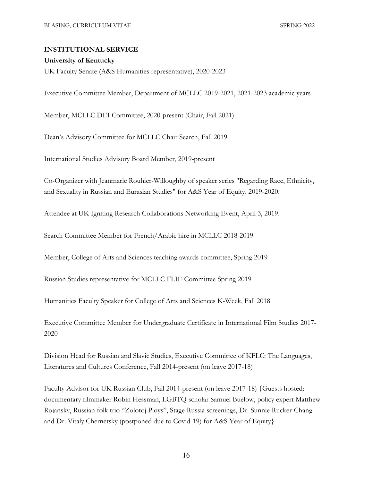## **INSTITUTIONAL SERVICE**

#### **University of Kentucky**

UK Faculty Senate (A&S Humanities representative), 2020-2023

Executive Committee Member, Department of MCLLC 2019-2021, 2021-2023 academic years

Member, MCLLC DEI Committee, 2020-present (Chair, Fall 2021)

Dean's Advisory Committee for MCLLC Chair Search, Fall 2019

International Studies Advisory Board Member, 2019-present

Co-Organizer with Jeanmarie Rouhier-Willoughby of speaker series "Regarding Race, Ethnicity, and Sexuality in Russian and Eurasian Studies" for A&S Year of Equity. 2019-2020.

Attendee at UK Igniting Research Collaborations Networking Event, April 3, 2019.

Search Committee Member for French/Arabic hire in MCLLC 2018-2019

Member, College of Arts and Sciences teaching awards committee, Spring 2019

Russian Studies representative for MCLLC FLIE Committee Spring 2019

Humanities Faculty Speaker for College of Arts and Sciences K-Week, Fall 2018

Executive Committee Member for Undergraduate Certificate in International Film Studies 2017- 2020

Division Head for Russian and Slavic Studies, Executive Committee of KFLC: The Languages, Literatures and Cultures Conference, Fall 2014-present (on leave 2017-18)

Faculty Advisor for UK Russian Club, Fall 2014-present (on leave 2017-18) {Guests hosted: documentary filmmaker Robin Hessman, LGBTQ scholar Samuel Buelow, policy expert Matthew Rojansky, Russian folk trio "Zolotoj Ploys", Stage Russia screenings, Dr. Sunnie Rucker-Chang and Dr. Vitaly Chernetsky (postponed due to Covid-19) for A&S Year of Equity}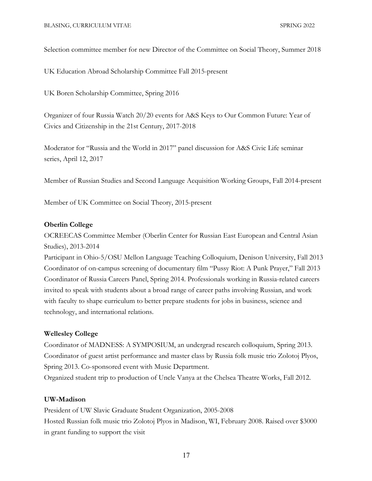Selection committee member for new Director of the Committee on Social Theory, Summer 2018

UK Education Abroad Scholarship Committee Fall 2015-present

UK Boren Scholarship Committee, Spring 2016

Organizer of four Russia Watch 20/20 events for A&S Keys to Our Common Future: Year of Civics and Citizenship in the 21st Century, 2017-2018

Moderator for "Russia and the World in 2017" panel discussion for A&S Civic Life seminar series, April 12, 2017

Member of Russian Studies and Second Language Acquisition Working Groups, Fall 2014-present

Member of UK Committee on Social Theory, 2015-present

## **Oberlin College**

OCREECAS Committee Member (Oberlin Center for Russian East European and Central Asian Studies), 2013-2014

Participant in Ohio-5/OSU Mellon Language Teaching Colloquium, Denison University, Fall 2013 Coordinator of on-campus screening of documentary film "Pussy Riot: A Punk Prayer," Fall 2013 Coordinator of Russia Careers Panel, Spring 2014. Professionals working in Russia-related careers invited to speak with students about a broad range of career paths involving Russian, and work with faculty to shape curriculum to better prepare students for jobs in business, science and technology, and international relations.

## **Wellesley College**

Coordinator of MADNESS: A SYMPOSIUM, an undergrad research colloquium, Spring 2013. Coordinator of guest artist performance and master class by Russia folk music trio Zolotoj Plyos, Spring 2013. Co-sponsored event with Music Department.

Organized student trip to production of Uncle Vanya at the Chelsea Theatre Works, Fall 2012.

#### **UW-Madison**

President of UW Slavic Graduate Student Organization, 2005-2008 Hosted Russian folk music trio Zolotoj Plyos in Madison, WI, February 2008. Raised over \$3000 in grant funding to support the visit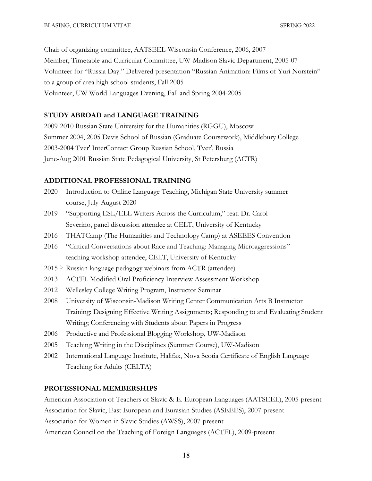Chair of organizing committee, AATSEEL-Wisconsin Conference, 2006, 2007 Member, Timetable and Curricular Committee, UW-Madison Slavic Department, 2005-07 Volunteer for "Russia Day." Delivered presentation "Russian Animation: Films of Yuri Norstein" to a group of area high school students, Fall 2005 Volunteer, UW World Languages Evening, Fall and Spring 2004-2005

## **STUDY ABROAD and LANGUAGE TRAINING**

2009-2010 Russian State University for the Humanities (RGGU), Moscow Summer 2004, 2005 Davis School of Russian (Graduate Coursework), Middlebury College 2003-2004 Tver' InterContact Group Russian School, Tver', Russia June-Aug 2001 Russian State Pedagogical University, St Petersburg (ACTR)

## **ADDITIONAL PROFESSIONAL TRAINING**

- 2020 Introduction to Online Language Teaching, Michigan State University summer course, July-August 2020
- 2019 "Supporting ESL/ELL Writers Across the Curriculum," feat. Dr. Carol Severino, panel discussion attendee at CELT, University of Kentucky
- 2016 THATCamp (The Humanities and Technology Camp) at ASEEES Convention
- 2016 "Critical Conversations about Race and Teaching: Managing Microaggressions" teaching workshop attendee, CELT, University of Kentucky
- 2015-? Russian language pedagogy webinars from ACTR (attendee)
- 2013 ACTFL Modified Oral Proficiency Interview Assessment Workshop
- 2012 Wellesley College Writing Program, Instructor Seminar
- 2008 University of Wisconsin-Madison Writing Center Communication Arts B Instructor Training: Designing Effective Writing Assignments; Responding to and Evaluating Student Writing; Conferencing with Students about Papers in Progress
- 2006 Productive and Professional Blogging Workshop, UW-Madison
- 2005 Teaching Writing in the Disciplines (Summer Course), UW-Madison
- 2002 International Language Institute, Halifax, Nova Scotia Certificate of English Language Teaching for Adults (CELTA)

#### **PROFESSIONAL MEMBERSHIPS**

American Association of Teachers of Slavic & E. European Languages (AATSEEL), 2005-present Association for Slavic, East European and Eurasian Studies (ASEEES), 2007-present Association for Women in Slavic Studies (AWSS), 2007-present American Council on the Teaching of Foreign Languages (ACTFL), 2009-present